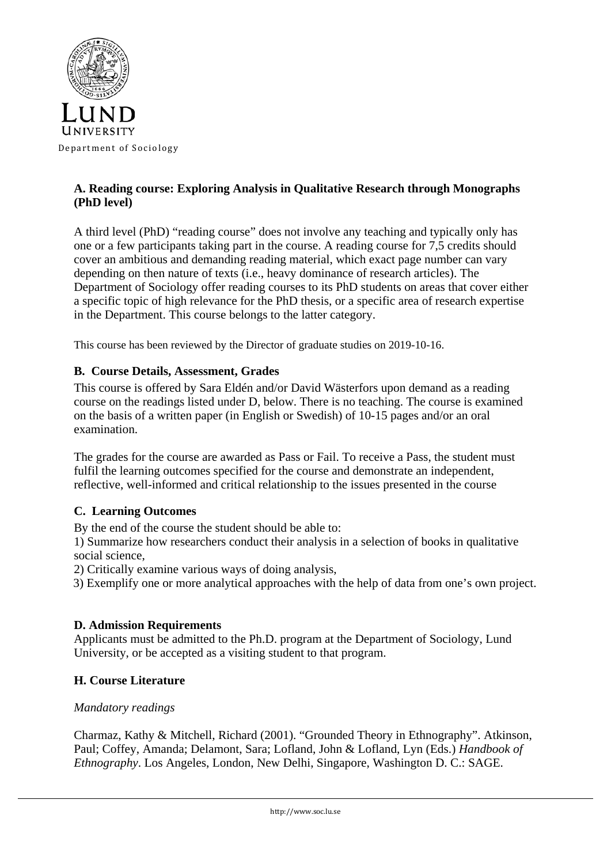

## **A. Reading course: Exploring Analysis in Qualitative Research through Monographs (PhD level)**

A third level (PhD) "reading course" does not involve any teaching and typically only has one or a few participants taking part in the course. A reading course for 7,5 credits should cover an ambitious and demanding reading material, which exact page number can vary depending on then nature of texts (i.e., heavy dominance of research articles). The Department of Sociology offer reading courses to its PhD students on areas that cover either a specific topic of high relevance for the PhD thesis, or a specific area of research expertise in the Department. This course belongs to the latter category.

This course has been reviewed by the Director of graduate studies on 2019-10-16.

### **B. Course Details, Assessment, Grades**

This course is offered by Sara Eldén and/or David Wästerfors upon demand as a reading course on the readings listed under D, below. There is no teaching. The course is examined on the basis of a written paper (in English or Swedish) of 10-15 pages and/or an oral examination.

The grades for the course are awarded as Pass or Fail. To receive a Pass, the student must fulfil the learning outcomes specified for the course and demonstrate an independent, reflective, well-informed and critical relationship to the issues presented in the course

#### **C. Learning Outcomes**

By the end of the course the student should be able to:

1) Summarize how researchers conduct their analysis in a selection of books in qualitative social science,

2) Critically examine various ways of doing analysis,

3) Exemplify one or more analytical approaches with the help of data from one's own project.

#### **D. Admission Requirements**

Applicants must be admitted to the Ph.D. program at the Department of Sociology, Lund University, or be accepted as a visiting student to that program.

#### **H. Course Literature**

#### *Mandatory readings*

Charmaz, Kathy & Mitchell, Richard (2001). "Grounded Theory in Ethnography". Atkinson, Paul; Coffey, Amanda; Delamont, Sara; Lofland, John & Lofland, Lyn (Eds.) *Handbook of Ethnography*. Los Angeles, London, New Delhi, Singapore, Washington D. C.: SAGE.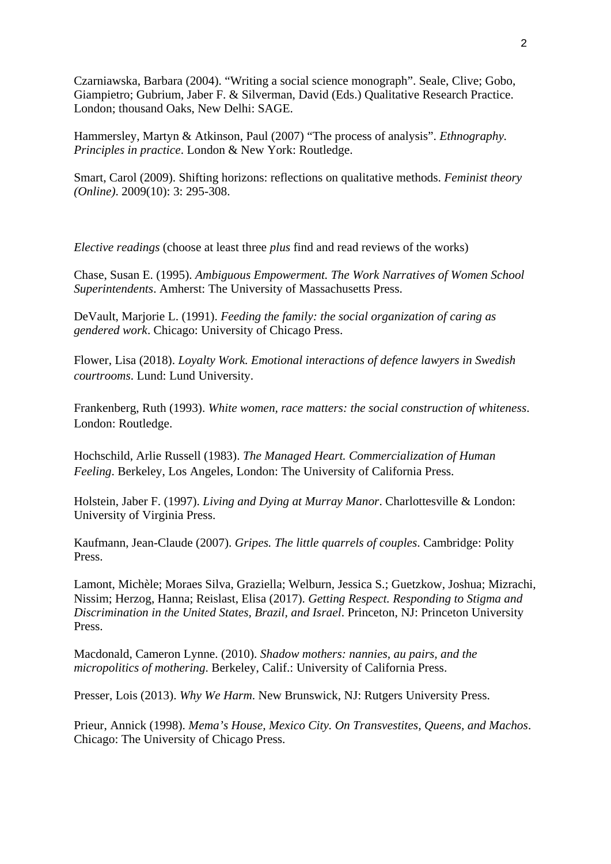Czarniawska, Barbara (2004). "Writing a social science monograph". Seale, Clive; Gobo, Giampietro; Gubrium, Jaber F. & Silverman, David (Eds.) Qualitative Research Practice. London; thousand Oaks, New Delhi: SAGE.

Hammersley, Martyn & Atkinson, Paul (2007) "The process of analysis". *Ethnography. Principles in practice*. London & New York: Routledge.

Smart, Carol (2009). Shifting horizons: reflections on qualitative methods. *Feminist theory (Online)*. 2009(10): 3: 295-308.

*Elective readings* (choose at least three *plus* find and read reviews of the works)

Chase, Susan E. (1995). *Ambiguous Empowerment. The Work Narratives of Women School Superintendents*. Amherst: The University of Massachusetts Press.

DeVault, Marjorie L. (1991). *Feeding the family: the social organization of caring as gendered work*. Chicago: University of Chicago Press.

Flower, Lisa (2018). *Loyalty Work. Emotional interactions of defence lawyers in Swedish courtrooms*. Lund: Lund University.

Frankenberg, Ruth (1993). *White women, race matters: the social construction of whiteness*. London: Routledge.

Hochschild, Arlie Russell (1983). *The Managed Heart. Commercialization of Human Feeling*. Berkeley, Los Angeles, London: The University of California Press.

Holstein, Jaber F. (1997). *Living and Dying at Murray Manor*. Charlottesville & London: University of Virginia Press.

Kaufmann, Jean-Claude (2007). *Gripes. The little quarrels of couples*. Cambridge: Polity Press.

Lamont, Michèle; Moraes Silva, Graziella; Welburn, Jessica S.; Guetzkow, Joshua; Mizrachi, Nissim; Herzog, Hanna; Reislast, Elisa (2017). *Getting Respect. Responding to Stigma and Discrimination in the United States, Brazil, and Israel*. Princeton, NJ: Princeton University Press.

Macdonald, Cameron Lynne. (2010). *Shadow mothers: nannies, au pairs, and the micropolitics of mothering*. Berkeley, Calif.: University of California Press.

Presser, Lois (2013). *Why We Harm*. New Brunswick, NJ: Rutgers University Press.

Prieur, Annick (1998). *Mema's House, Mexico City. On Transvestites, Queens, and Machos*. Chicago: The University of Chicago Press.